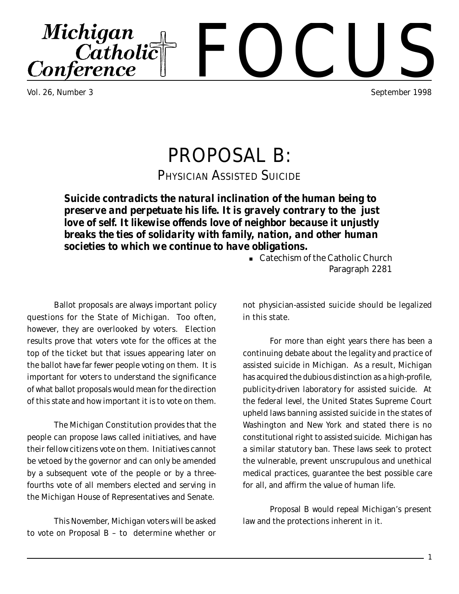Vol. 26, Number 3 September 1998

# PROPOSAL B:

PHYSICIAN ASSISTED SUICIDE

*Suicide contradicts the natural inclination of the human being to preserve and perpetuate his life. It is gravely contrary to the just love of self. It likewise offends love of neighbor because it unjustly breaks the ties of solidarity with family, nation, and other human societies to which we continue to have obligations.*

Ballot proposals are always important policy questions for the State of Michigan. Too often, however, they are overlooked by voters. Election results prove that voters vote for the offices at the top of the ticket but that issues appearing later on the ballot have far fewer people voting on them. It is important for voters to understand the significance of what ballot proposals would mean for the direction of this state and how important it is to vote on them.

The Michigan Constitution provides that the people can propose laws called initiatives, and have their fellow citizens vote on them. Initiatives cannot be vetoed by the governor and can only be amended by a subsequent vote of the people or by a threefourths vote of all members elected and serving in the Michigan House of Representatives and Senate.

This November, Michigan voters will be asked to vote on Proposal B – to determine whether or

<sup>n</sup> Catechism of the Catholic Church Paragraph 2281

not physician-assisted suicide should be legalized in this state.

For more than eight years there has been a continuing debate about the legality and practice of assisted suicide in Michigan. As a result, Michigan has acquired the dubious distinction as a high-profile, publicity-driven laboratory for assisted suicide. At the federal level, the United States Supreme Court upheld laws banning assisted suicide in the states of Washington and New York and stated there is no constitutional right to assisted suicide. Michigan has a similar statutory ban. These laws seek to protect the vulnerable, prevent unscrupulous and unethical medical practices, guarantee the best possible care for all, and affirm the value of human life.

Proposal B would repeal Michigan's present law and the protections inherent in it.

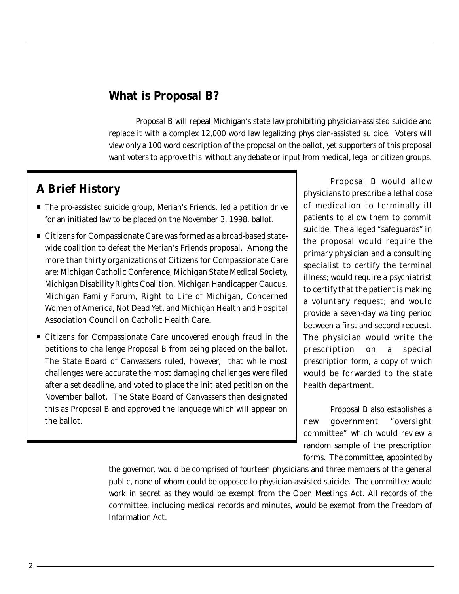#### **What is Proposal B?**

Proposal B will repeal Michigan's state law prohibiting physician-assisted suicide and replace it with a complex 12,000 word law legalizing physician-assisted suicide. Voters will view only a 100 word description of the proposal on the ballot, yet supporters of this proposal want voters to approve this without any debate or input from medical, legal or citizen groups.

#### **A Brief History**

- The pro-assisted suicide group, Merian's Friends, led a petition drive for an initiated law to be placed on the November 3, 1998, ballot.
- Citizens for Compassionate Care was formed as a broad-based statewide coalition to defeat the Merian's Friends proposal. Among the more than thirty organizations of Citizens for Compassionate Care are: Michigan Catholic Conference, Michigan State Medical Society, Michigan Disability Rights Coalition, Michigan Handicapper Caucus, Michigan Family Forum, Right to Life of Michigan, Concerned Women of America, Not Dead Yet, and Michigan Health and Hospital Association Council on Catholic Health Care.
- Citizens for Compassionate Care uncovered enough fraud in the petitions to challenge Proposal B from being placed on the ballot. The State Board of Canvassers ruled, however, that while most challenges were accurate the most damaging challenges were filed after a set deadline, and voted to place the initiated petition on the November ballot. The State Board of Canvassers then designated this as Proposal B and approved the language which will appear on the ballot.

Proposal B would allow physicians to prescribe a lethal dose of medication to terminally ill patients to allow them to commit suicide. The alleged "safeguards" in the proposal would require the primary physician and a consulting specialist to certify the terminal illness; would require a psychiatrist to certify that the patient is making a voluntary request; and would provide a seven-day waiting period between a first and second request. The physician would write the prescription on a special prescription form, a copy of which would be forwarded to the state health department.

Proposal B also establishes a new government "oversight committee" which would review a random sample of the prescription forms. The committee, appointed by

the governor, would be comprised of fourteen physicians and three members of the general public, none of whom could be opposed to physician-assisted suicide. The committee would work in secret as they would be exempt from the Open Meetings Act. All records of the committee, including medical records and minutes, would be exempt from the Freedom of Information Act.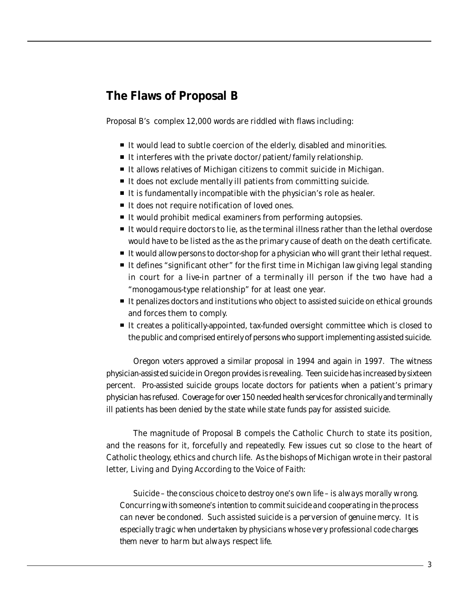### **The Flaws of Proposal B**

Proposal B's complex 12,000 words are riddled with flaws including:

- It would lead to subtle coercion of the elderly, disabled and minorities.
- It interferes with the private doctor/patient/family relationship.
- It allows relatives of Michigan citizens to commit suicide in Michigan.
- It does not exclude mentally ill patients from committing suicide.
- $\blacksquare$  It is fundamentally incompatible with the physician's role as healer.
- It does not require notification of loved ones.
- It would prohibit medical examiners from performing autopsies.
- It would require doctors to lie, as the terminal illness rather than the lethal overdose would have to be listed as the as the primary cause of death on the death certificate.
- It would allow persons to doctor-shop for a physician who will grant their lethal request.
- It defines "significant other" for the first time in Michigan law giving legal standing in court for a live-in partner of a terminally ill person if the two have had a "monogamous-type relationship" for at least one year.
- It penalizes doctors and institutions who object to assisted suicide on ethical grounds and forces them to comply.
- It creates a politically-appointed, tax-funded oversight committee which is closed to the public and comprised entirely of persons who support implementing assisted suicide.

Oregon voters approved a similar proposal in 1994 and again in 1997. The witness physician-assisted suicide in Oregon provides is revealing. Teen suicide has increased by sixteen percent. Pro-assisted suicide groups locate doctors for patients when a patient's primary physician has refused. Coverage for over 150 needed health services for chronically and terminally ill patients has been denied by the state while state funds pay for assisted suicide.

The magnitude of Proposal B compels the Catholic Church to state its position, and the reasons for it, forcefully and repeatedly. Few issues cut so close to the heart of Catholic theology, ethics and church life. As the bishops of Michigan wrote in their pastoral letter, *Living and Dying According to the Voice of Faith*:

*Suicide – the conscious choice to destroy one's own life – is always morally wrong. Concurring with someone's intention to commit suicide and cooperating in the process can never be condoned. Such assisted suicide is a perversion of genuine mercy. It is especially tragic when undertaken by physicians whose very professional code charges them never to harm but always respect life.*